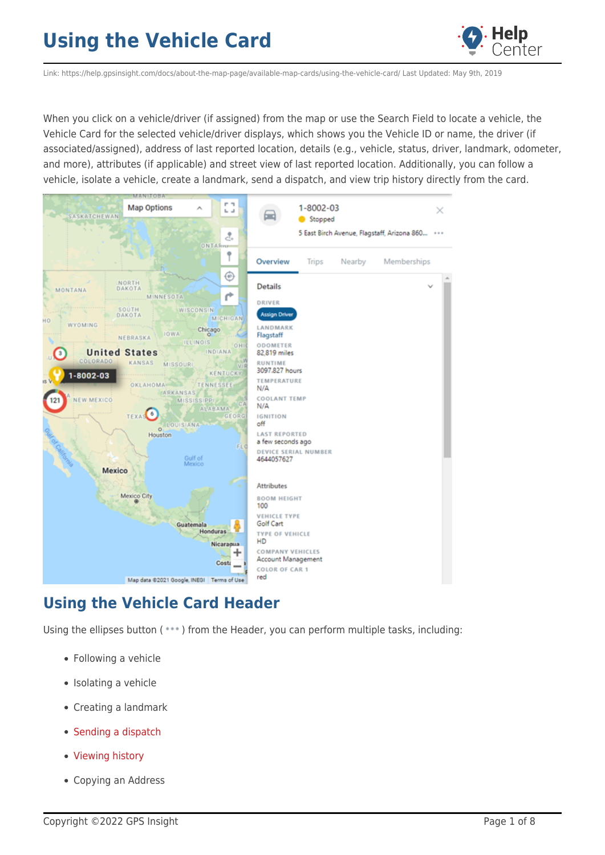

Link: https://help.gpsinsight.com/docs/about-the-map-page/available-map-cards/using-the-vehicle-card/ Last Updated: May 9th, 2019

When you click on a vehicle/driver (if assigned) from the map or use the Search Field to locate a vehicle, the Vehicle Card for the selected vehicle/driver displays, which shows you the Vehicle ID or name, the driver (if associated/assigned), address of last reported location, details (e.g., vehicle, status, driver, landmark, odometer, and more), attributes (if applicable) and street view of last reported location. Additionally, you can follow a vehicle, isolate a vehicle, create a landmark, send a dispatch, and view trip history directly from the card.



### **Using the Vehicle Card Header**

Using the ellipses button (\*\*\*) from the Header, you can perform multiple tasks, including:

- Following a vehicle
- Isolating a vehicle
- Creating a landmark
- [Sending a dispatch](https://help.gpsinsight.com/docs/about-the-map-page/available-map-cards/using-the-landmark-card/#cmd_device_toc_16761_4)
- [Viewing history](https://help.gpsinsight.com/docs/about-the-map-page/available-map-cards/using-the-landmark-card/#cmd_device_toc_16761_5)
- Copying an Address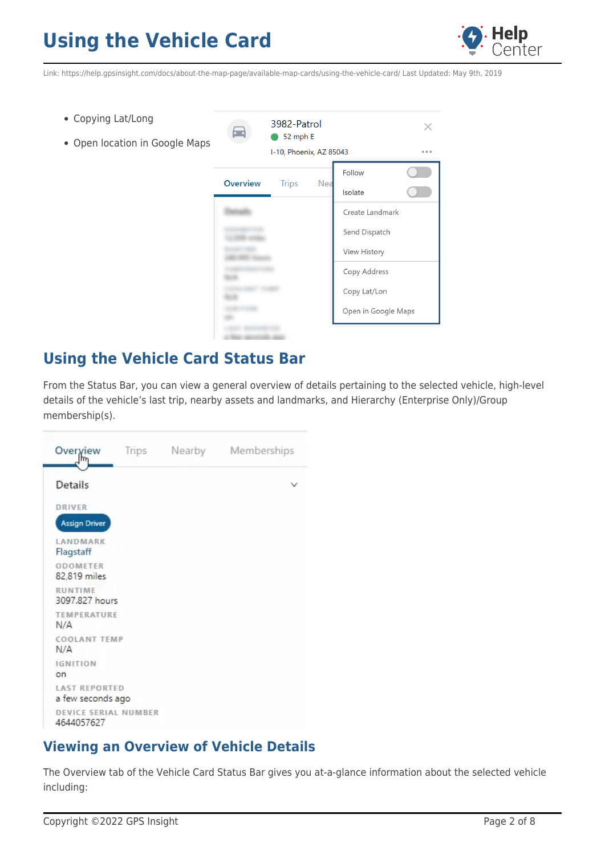

Link: https://help.gpsinsight.com/docs/about-the-map-page/available-map-cards/using-the-vehicle-card/ Last Updated: May 9th, 2019

- Copying Lat/Long
- Open location in Google Maps



### **Using the Vehicle Card Status Bar**

From the Status Bar, you can view a general overview of details pertaining to the selected vehicle, high-level details of the vehicle's last trip, nearby assets and landmarks, and Hierarchy (Enterprise Only)/Group membership(s).



### **Viewing an Overview of Vehicle Details**

The Overview tab of the Vehicle Card Status Bar gives you at-a-glance information about the selected vehicle including: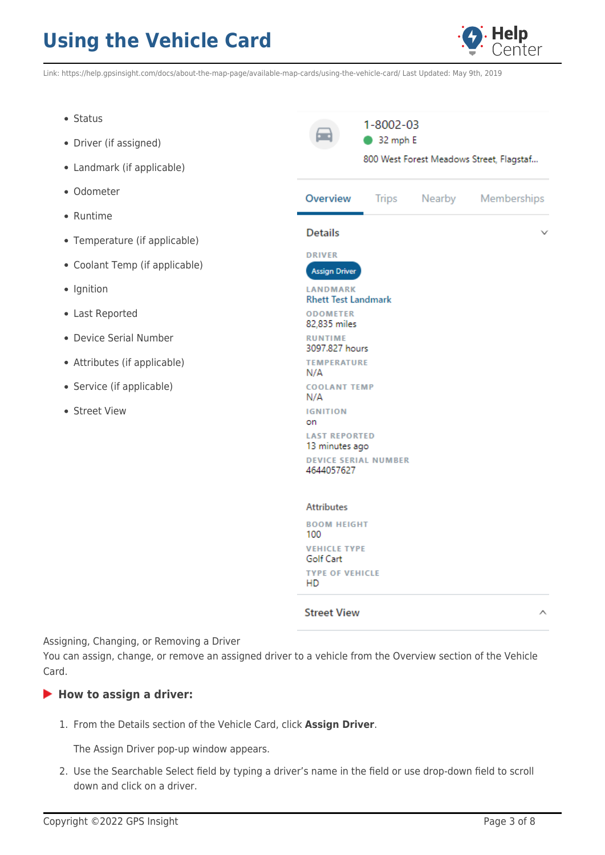

Link: https://help.gpsinsight.com/docs/about-the-map-page/available-map-cards/using-the-vehicle-card/ Last Updated: May 9th, 2019

- Status
- Driver (if assigned)
- Landmark (if applicable)
- Odometer
- Runtime
- Temperature (if applicable)
- Coolant Temp (if applicable)
- Ignition
- Last Reported
- Device Serial Number
- Attributes (if applicable)
- Service (if applicable)
- Street View

 $1 - 8002 - 03$ است ا • 32 mph E 800 West Forest Meadows Street, Flagstaf... Overview Memberships **Trips** Nearby **Details** DRIVER **Assign Driver** LANDMARK **Rhett Test Landmark ODOMETER** 82,835 miles **RUNTIME** 3097.827 hours **TEMPERATURE**  $N/A$ **COOLANT TEMP**  $N/A$ **IGNITION** on **LAST REPORTED** 13 minutes ago **DEVICE SERIAL NUMBER** 4644057627 **Attributes BOOM HEIGHT** 100 **VEHICLE TYPE** Golf Cart **TYPE OF VEHICLE** HD

#### **Street View**

Assigning, Changing, or Removing a Driver

You can assign, change, or remove an assigned driver to a vehicle from the Overview section of the Vehicle Card.

### ▶ How to assign a driver:

1. From the Details section of the Vehicle Card, click **Assign Driver**.

The Assign Driver pop-up window appears.

2. Use the Searchable Select field by typing a driver's name in the field or use drop-down field to scroll down and click on a driver.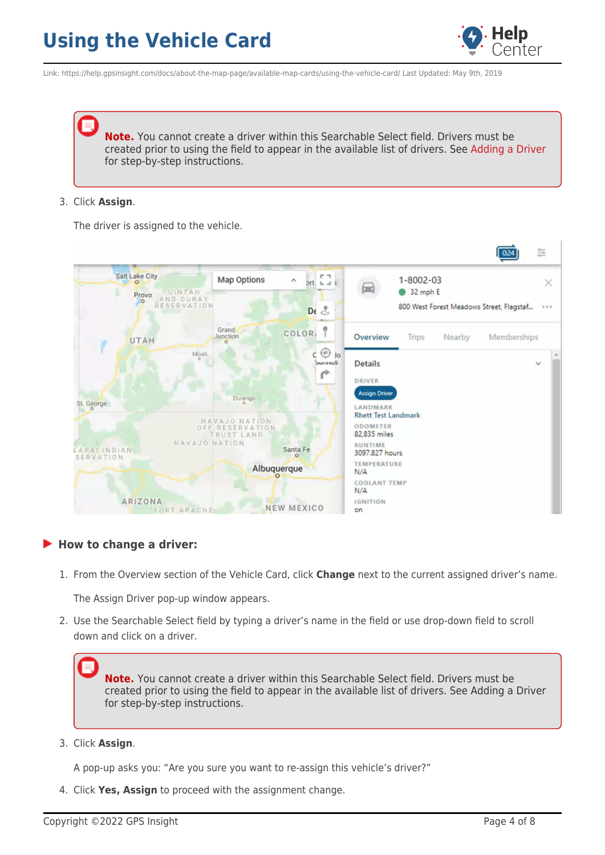

Link: https://help.gpsinsight.com/docs/about-the-map-page/available-map-cards/using-the-vehicle-card/ Last Updated: May 9th, 2019

**Note.** You cannot create a driver within this Searchable Select field. Drivers must be created prior to using the field to appear in the available list of drivers. See [Adding a Driver](https://help.gpsinsight.com/docs/about-drivers/adding-a-driver/) for step-by-step instructions.

#### 3. Click **Assign**.

The driver is assigned to the vehicle.



#### **How to change a driver:**

1. From the Overview section of the Vehicle Card, click **Change** next to the current assigned driver's name.

The Assign Driver pop-up window appears.

2. Use the Searchable Select field by typing a driver's name in the field or use drop-down field to scroll down and click on a driver.

**Note.** You cannot create a driver within this Searchable Select field. Drivers must be created prior to using the field to appear in the available list of drivers. See Adding a Driver for step-by-step instructions.

3. Click **Assign**.

A pop-up asks you: "Are you sure you want to re-assign this vehicle's driver?"

4. Click **Yes, Assign** to proceed with the assignment change.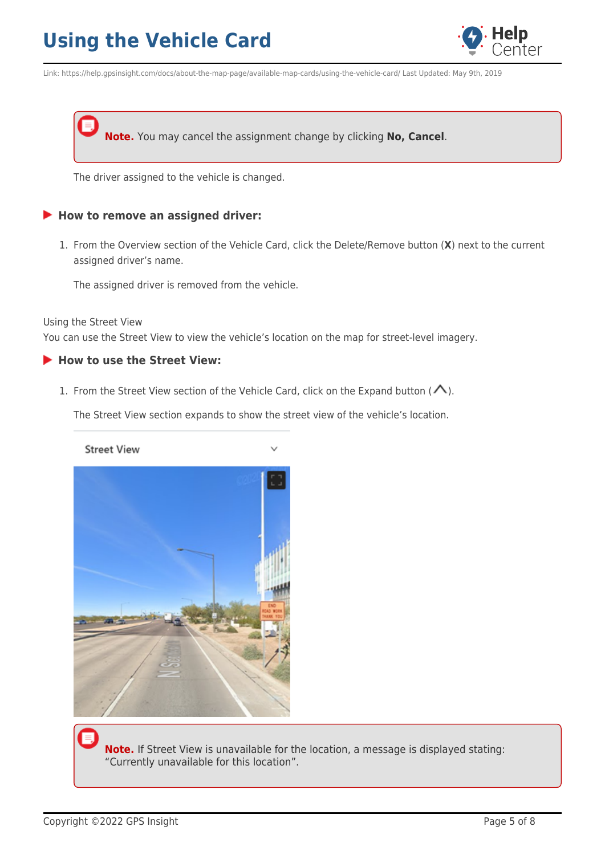

Link: https://help.gpsinsight.com/docs/about-the-map-page/available-map-cards/using-the-vehicle-card/ Last Updated: May 9th, 2019

**Note.** You may cancel the assignment change by clicking **No, Cancel**.

The driver assigned to the vehicle is changed.

#### **How to remove an assigned driver:**

1. From the Overview section of the Vehicle Card, click the Delete/Remove button (**X**) next to the current assigned driver's name.

The assigned driver is removed from the vehicle.

Using the Street View

You can use the Street View to view the vehicle's location on the map for street-level imagery.

#### **How to use the Street View:**

1. From the Street View section of the Vehicle Card, click on the Expand button [\(](https://help.gpsinsight.com/wp-content/uploads/2019/06/Vehicle-Card_Expand-Street-View-Icon.png) $\bigwedge$ ).

The Street View section expands to show the street view of the vehicle's location.

**Street View** 



**Note.** If Street View is unavailable for the location, a message is displayed stating: "Currently unavailable for this location".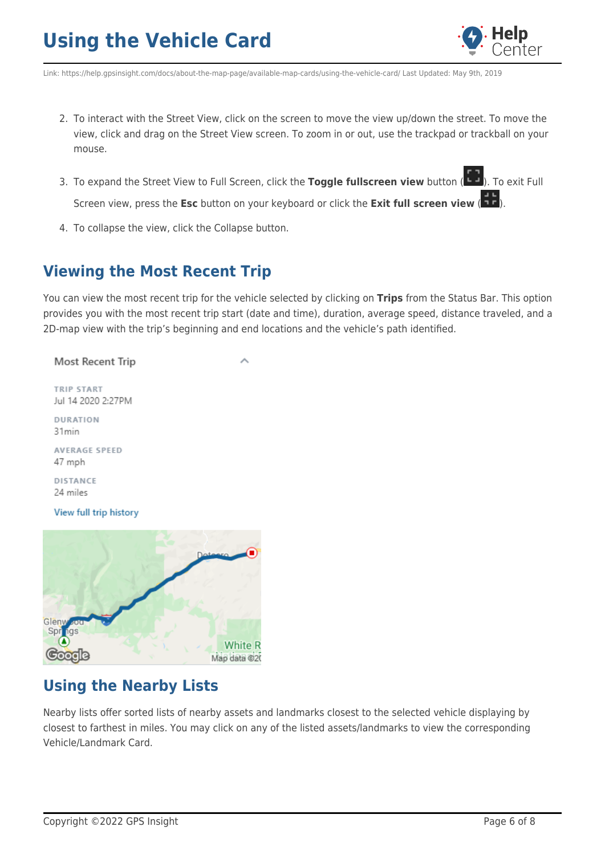

Link: https://help.gpsinsight.com/docs/about-the-map-page/available-map-cards/using-the-vehicle-card/ Last Updated: May 9th, 2019

- 2. To interact with the Street View, click on the screen to move the view up/down the street. To move the view, click and drag on the Street View screen. To zoom in or out, use the trackpad or trackball on your mouse.
- 3. To expand the Street View to Full Screen, click the Toggle fullscreen view button [\(](https://help.gpsinsight.com/wp-content/uploads/2019/06/img_5d0cfe82ea5a4.png)**199**). To exit Full Screen view, press the **Esc** button on your keyboard or click the **Exit full screen view** ( 17[\)](https://help.gpsinsight.com/wp-content/uploads/2019/06/img_5d0cfe9b0f7c2.png).
- 4. To collapse the view, click the Collapse button.

### **Viewing the Most Recent Trip**

You can view the most recent trip for the vehicle selected by clicking on **Trips** from the Status Bar. This option provides you with the most recent trip start (date and time), duration, average speed, distance traveled, and a 2D-map view with the trip's beginning and end locations and the vehicle's path identified.

#### Most Recent Trip

TRIP START Jul 14 2020 2:27PM

DURATION 31min

**AVERAGE SPEED** 47 mph

DISTANCE 24 miles

View full trip history



### **Using the Nearby Lists**

Nearby lists offer sorted lists of nearby assets and landmarks closest to the selected vehicle displaying by closest to farthest in miles. You may click on any of the listed assets/landmarks to view the corresponding Vehicle/Landmark Card.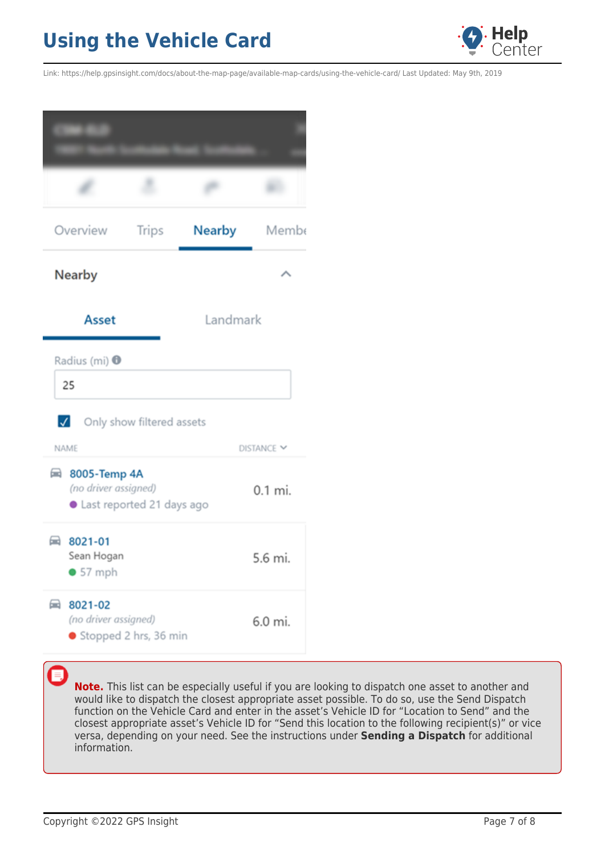

Link: https://help.gpsinsight.com/docs/about-the-map-page/available-map-cards/using-the-vehicle-card/ Last Updated: May 9th, 2019

| Overview                                                                            | <b>Trips</b> | Nearby   | Membe      |
|-------------------------------------------------------------------------------------|--------------|----------|------------|
| <b>Nearby</b>                                                                       |              |          |            |
| <b>Asset</b>                                                                        |              | Landmark |            |
| Radius (mi) <sup>O</sup><br>25<br>$\sqrt{}$<br>Only show filtered assets            |              |          |            |
| <b>NAME</b>                                                                         |              |          | DISTANCE Y |
| $\blacksquare$<br>8005-Temp 4A<br>(no driver assigned)<br>Last reported 21 days ago |              | 0.1 mi.  |            |
| ■ 8021-01<br>Sean Hogan<br>• 57 mph                                                 |              |          | 5.6 mi.    |
| ⊟<br>8021-02<br>(no driver assigned)<br>Stopped 2 hrs, 36 min                       |              |          | 6.0 mi.    |

**Note.** This list can be especially useful if you are looking to dispatch one asset to another and would like to dispatch the closest appropriate asset possible. To do so, use the Send Dispatch function on the Vehicle Card and enter in the asset's Vehicle ID for "Location to Send" and the closest appropriate asset's Vehicle ID for "Send this location to the following recipient(s)" or vice versa, depending on your need. See the instructions under **Sending a Dispatch** for additional information.